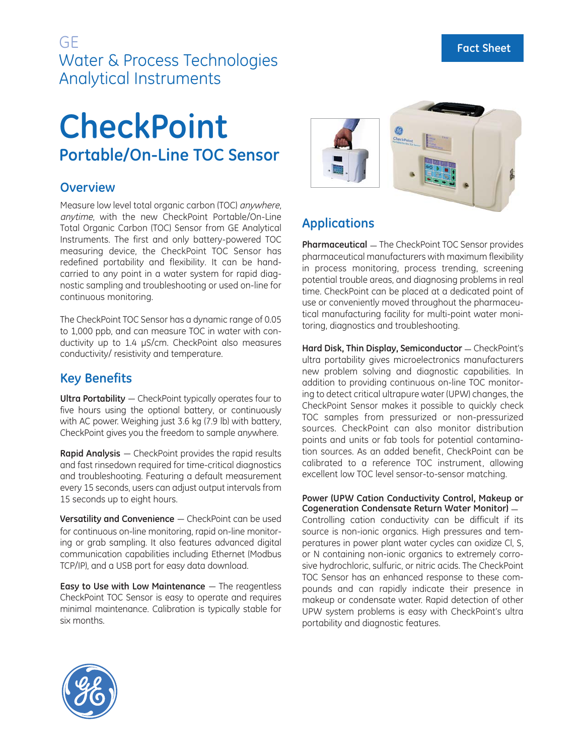## GE Water & Process Technologies Analytical Instruments

# **CheckPoint Portable/On-Line TOC Sensor**

### **Overview**

Measure low level total organic carbon (TOC) anywhere, anytime, with the new CheckPoint Portable/On-Line Total Organic Carbon (TOC) Sensor from GE Analytical Instruments. The first and only battery-powered TOC measuring device, the CheckPoint TOC Sensor has redefined portability and flexibility. It can be handcarried to any point in a water system for rapid diagnostic sampling and troubleshooting or used on-line for continuous monitoring.

The CheckPoint TOC Sensor has a dynamic range of 0.05 to 1,000 ppb, and can measure TOC in water with conductivity up to 1.4 μS/cm. CheckPoint also measures conductivity/ resistivity and temperature.

## **Key Benefits**

**Ultra Portability** — CheckPoint typically operates four to five hours using the optional battery, or continuously with AC power. Weighing just 3.6 kg (7.9 lb) with battery, CheckPoint gives you the freedom to sample anywhere.

**Rapid Analysis** — CheckPoint provides the rapid results and fast rinsedown required for time-critical diagnostics and troubleshooting. Featuring a default measurement every 15 seconds, users can adjust output intervals from 15 seconds up to eight hours.

**Versatility and Convenience** — CheckPoint can be used for continuous on-line monitoring, rapid on-line monitoring or grab sampling. It also features advanced digital communication capabilities including Ethernet (Modbus TCP/IP), and a USB port for easy data download.

**Easy to Use with Low Maintenance** — The reagentless CheckPoint TOC Sensor is easy to operate and requires minimal maintenance. Calibration is typically stable for six months.



## **Applications**

**Pharmaceutical** — The CheckPoint TOC Sensor provides pharmaceutical manufacturers with maximum flexibility in process monitoring, process trending, screening potential trouble areas, and diagnosing problems in real time. CheckPoint can be placed at a dedicated point of use or conveniently moved throughout the pharmaceutical manufacturing facility for multi-point water monitoring, diagnostics and troubleshooting.

Hard Disk, Thin Display, Semiconductor - CheckPoint's ultra portability gives microelectronics manufacturers new problem solving and diagnostic capabilities. In addition to providing continuous on-line TOC monitoring to detect critical ultrapure water (UPW) changes, the CheckPoint Sensor makes it possible to quickly check TOC samples from pressurized or non-pressurized sources. CheckPoint can also monitor distribution points and units or fab tools for potential contamination sources. As an added benefit, CheckPoint can be calibrated to a reference TOC instrument, allowing excellent low TOC level sensor-to-sensor matching.

**Power (UPW Cation Conductivity Control, Makeup or Cogeneration Condensate Return Water Monitor)** — Controlling cation conductivity can be difficult if its source is non-ionic organics. High pressures and temperatures in power plant water cycles can oxidize Cl, S, or N containing non-ionic organics to extremely corrosive hydrochloric, sulfuric, or nitric acids. The CheckPoint TOC Sensor has an enhanced response to these compounds and can rapidly indicate their presence in makeup or condensate water. Rapid detection of other UPW system problems is easy with CheckPoint's ultra portability and diagnostic features.